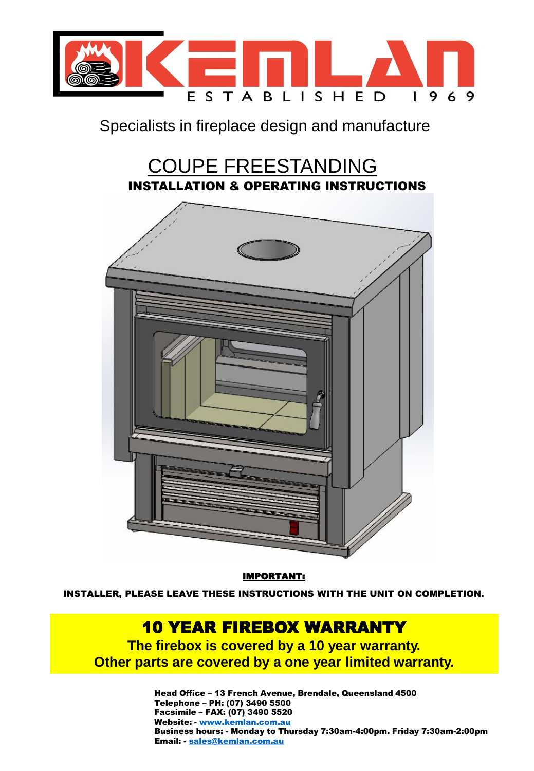

Specialists in fireplace design and manufacture

# COUPE FREESTANDING INSTALLATION & OPERATING INSTRUCTIONS



IMPORTANT:

INSTALLER, PLEASE LEAVE THESE INSTRUCTIONS WITH THE UNIT ON COMPLETION.

# 10 YEAR FIREBOX WARRANTY

**The firebox is covered by a 10 year warranty. Other parts are covered by a one year limited warranty.**

> Head Office – 13 French Avenue, Brendale, Queensland 4500 Telephone – PH: (07) 3490 5500 Facsimile – FAX: (07) 3490 5520 Website: - [www.kemlan.com.au](http://www.kemlan.com/) Business hours: - Monday to Thursday 7:30am-4:00pm. Friday 7:30am-2:00pm Email: - [sales@kemlan.com.au](mailto:sales@kemlan.com.au)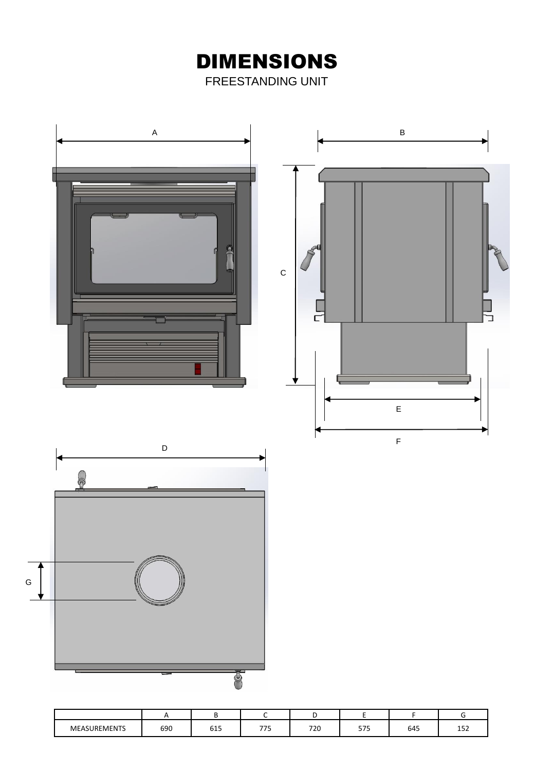# DIMENSIONS FREESTANDING UNIT



| <b>MEASUREMENTS</b> | 690 | 615 | $\overline{\phantom{a}}$<br>ر ، | 720<br>__ | <b>FIT</b><br><u>.</u> | 645 | $1 - 2$<br>ᆠᆦ |
|---------------------|-----|-----|---------------------------------|-----------|------------------------|-----|---------------|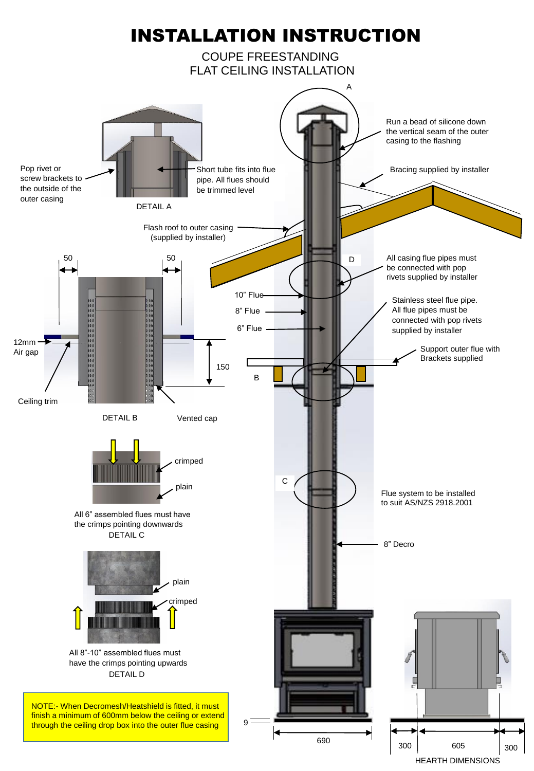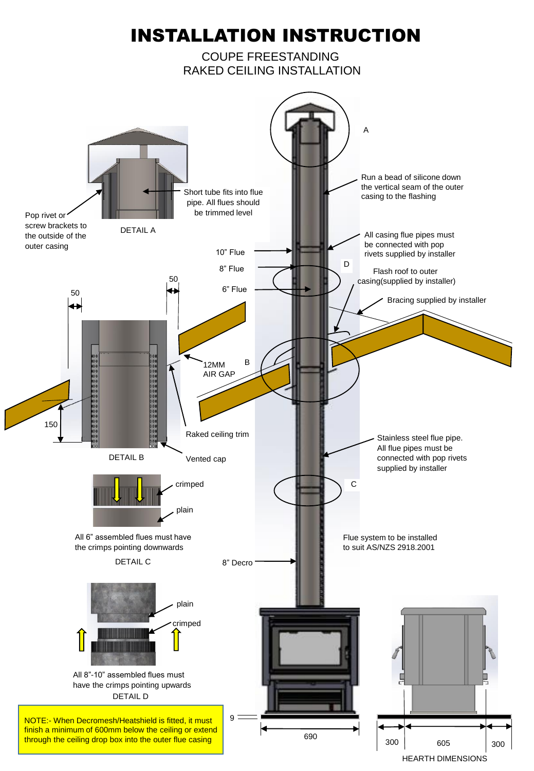# INSTALLATION INSTRUCTION

COUPE FREESTANDING RAKED CEILING INSTALLATION

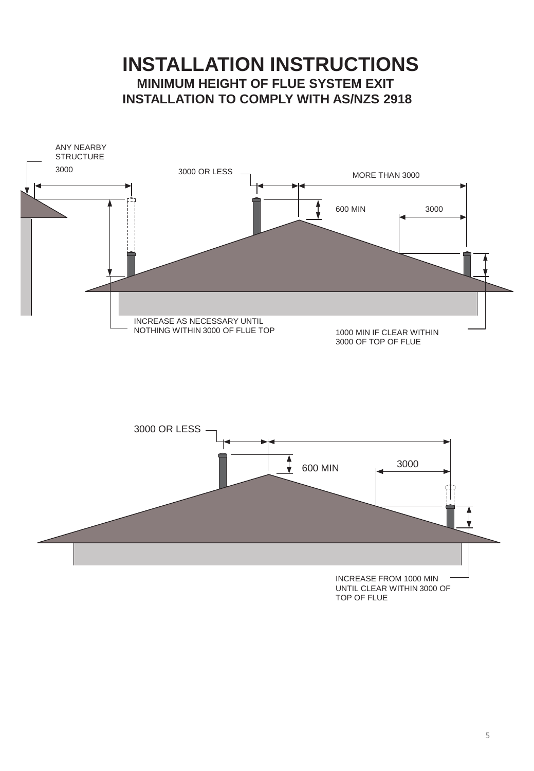# **INSTALLATION INSTRUCTIONS MINIMUM HEIGHT OF FLUE SYSTEM EXIT INSTALLATION TO COMPLY WITH AS/NZS 2918**

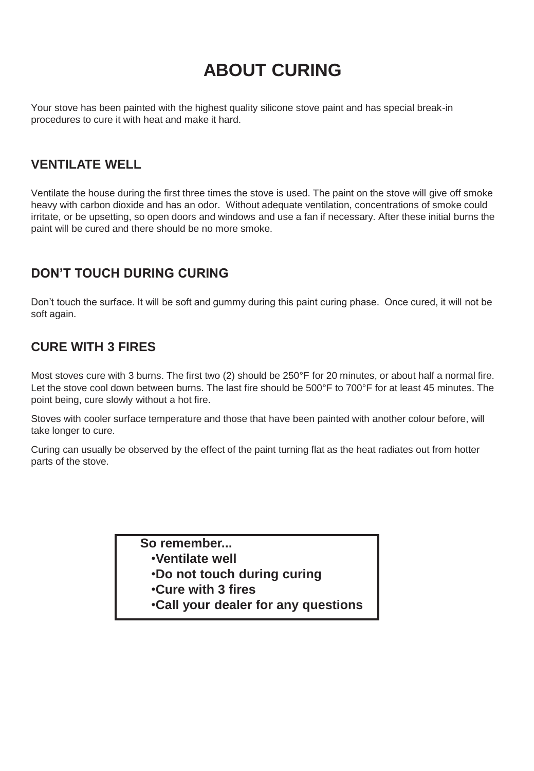# **ABOUT CURING**

Your stove has been painted with the highest quality silicone stove paint and has special break-in procedures to cure it with heat and make it hard.

### **VENTILATE WELL**

Ventilate the house during the first three times the stove is used. The paint on the stove will give off smoke heavy with carbon dioxide and has an odor. Without adequate ventilation, concentrations of smoke could irritate, or be upsetting, so open doors and windows and use a fan if necessary. After these initial burns the paint will be cured and there should be no more smoke.

### **DON'T TOUCH DURING CURING**

Don't touch the surface. It will be soft and gummy during this paint curing phase. Once cured, it will not be soft again.

### **CURE WITH 3 FIRES**

Most stoves cure with 3 burns. The first two (2) should be 250°F for 20 minutes, or about half a normal fire. Let the stove cool down between burns. The last fire should be 500°F to 700°F for at least 45 minutes. The point being, cure slowly without a hot fire.

Stoves with cooler surface temperature and those that have been painted with another colour before, will take longer to cure.

Curing can usually be observed by the effect of the paint turning flat as the heat radiates out from hotter parts of the stove.

**So remember...**

- •**Ventilate well**
- •**Do not touch during curing**
- •**Cure with 3 fires**
- •**Call your dealer for any questions**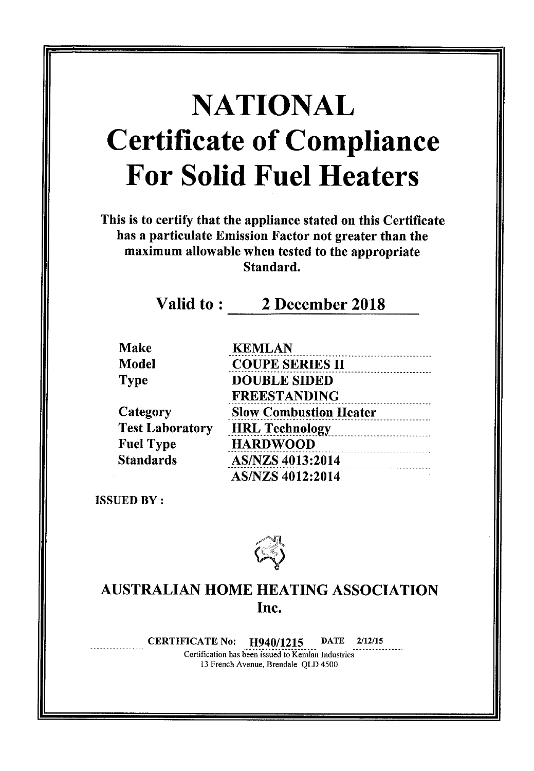# **NATIONAL Certificate of Compliance For Solid Fuel Heaters**

This is to certify that the appliance stated on this Certificate has a particulate Emission Factor not greater than the maximum allowable when tested to the appropriate Standard.

# Valid to: 2 December 2018

**Make Model Type** 

Category **Test Laboratory Fuel Type Standards** 

| <b>KEMLAN</b><br>___________________ |
|--------------------------------------|
| <b>COUPE SERIES II</b>               |
| <b>DOUBLE SIDED</b>                  |
| <b>FREESTANDING</b>                  |
| <b>Slow Combustion Heater</b>        |
| <b>HRL Technology</b>                |
| <b>HARDWOOD</b>                      |
| <b>AS/NZS 4013:2014</b>              |
| <b>AS/NZS 4012:2014</b>              |

**ISSUED BY:** 



## **AUSTRALIAN HOME HEATING ASSOCIATION** Inc.

**CERTIFICATE No: DATE**  $2/12/15$ H940/1215

Certification has been issued to Kemlan Industries 13 French Avenue, Brendale QLD 4500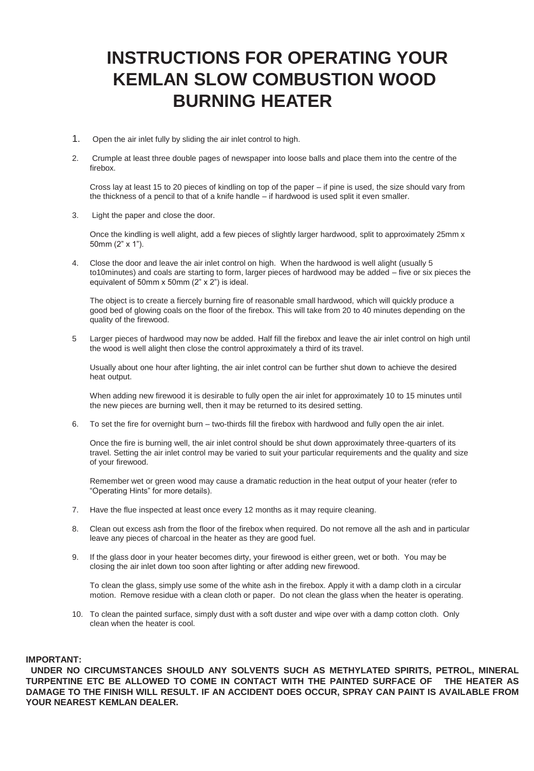# **INSTRUCTIONS FOR OPERATING YOUR KEMLAN SLOW COMBUSTION WOOD BURNING HEATER**

- 1. Open the air inlet fully by sliding the air inlet control to high.
- 2. Crumple at least three double pages of newspaper into loose balls and place them into the centre of the firebox.

Cross lay at least 15 to 20 pieces of kindling on top of the paper – if pine is used, the size should vary from the thickness of a pencil to that of a knife handle – if hardwood is used split it even smaller.

3. Light the paper and close the door.

Once the kindling is well alight, add a few pieces of slightly larger hardwood, split to approximately 25mm x 50mm (2" x 1").

4. Close the door and leave the air inlet control on high. When the hardwood is well alight (usually 5 to10minutes) and coals are starting to form, larger pieces of hardwood may be added – five or six pieces the equivalent of 50mm x 50mm (2" x 2") is ideal.

The object is to create a fiercely burning fire of reasonable small hardwood, which will quickly produce a good bed of glowing coals on the floor of the firebox. This will take from 20 to 40 minutes depending on the quality of the firewood.

5 Larger pieces of hardwood may now be added. Half fill the firebox and leave the air inlet control on high until the wood is well alight then close the control approximately a third of its travel.

Usually about one hour after lighting, the air inlet control can be further shut down to achieve the desired heat output.

When adding new firewood it is desirable to fully open the air inlet for approximately 10 to 15 minutes until the new pieces are burning well, then it may be returned to its desired setting.

6. To set the fire for overnight burn – two-thirds fill the firebox with hardwood and fully open the air inlet.

Once the fire is burning well, the air inlet control should be shut down approximately three-quarters of its travel. Setting the air inlet control may be varied to suit your particular requirements and the quality and size of your firewood.

Remember wet or green wood may cause a dramatic reduction in the heat output of your heater (refer to "Operating Hints" for more details).

- 7. Have the flue inspected at least once every 12 months as it may require cleaning.
- 8. Clean out excess ash from the floor of the firebox when required. Do not remove all the ash and in particular leave any pieces of charcoal in the heater as they are good fuel.
- 9. If the glass door in your heater becomes dirty, your firewood is either green, wet or both. You may be closing the air inlet down too soon after lighting or after adding new firewood.

To clean the glass, simply use some of the white ash in the firebox. Apply it with a damp cloth in a circular motion. Remove residue with a clean cloth or paper. Do not clean the glass when the heater is operating.

10. To clean the painted surface, simply dust with a soft duster and wipe over with a damp cotton cloth. Only clean when the heater is cool.

#### **IMPORTANT:**

**UNDER NO CIRCUMSTANCES SHOULD ANY SOLVENTS SUCH AS METHYLATED SPIRITS, PETROL, MINERAL TURPENTINE ETC BE ALLOWED TO COME IN CONTACT WITH THE PAINTED SURFACE OF THE HEATER AS DAMAGE TO THE FINISH WILL RESULT. IF AN ACCIDENT DOES OCCUR, SPRAY CAN PAINT IS AVAILABLE FROM YOUR NEAREST KEMLAN DEALER.**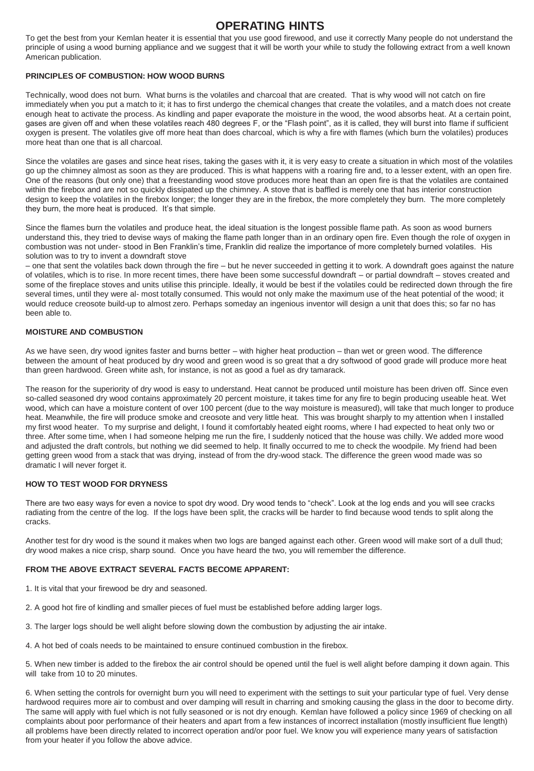#### **OPERATING HINTS**

To get the best from your Kemlan heater it is essential that you use good firewood, and use it correctly Many people do not understand the principle of using a wood burning appliance and we suggest that it will be worth your while to study the following extract from a well known American publication.

#### **PRINCIPLES OF COMBUSTION: HOW WOOD BURNS**

Technically, wood does not burn. What burns is the volatiles and charcoal that are created. That is why wood will not catch on fire immediately when you put a match to it; it has to first undergo the chemical changes that create the volatiles, and a match does not create enough heat to activate the process. As kindling and paper evaporate the moisture in the wood, the wood absorbs heat. At a certain point, gases are given off and when these volatiles reach 480 degrees F, or the "Flash point", as it is called, they will burst into flame if sufficient oxygen is present. The volatiles give off more heat than does charcoal, which is why a fire with flames (which burn the volatiles) produces more heat than one that is all charcoal.

Since the volatiles are gases and since heat rises, taking the gases with it, it is very easy to create a situation in which most of the volatiles go up the chimney almost as soon as they are produced. This is what happens with a roaring fire and, to a lesser extent, with an open fire. One of the reasons (but only one) that a freestanding wood stove produces more heat than an open fire is that the volatiles are contained within the firebox and are not so quickly dissipated up the chimney. A stove that is baffled is merely one that has interior construction design to keep the volatiles in the firebox longer; the longer they are in the firebox, the more completely they burn. The more completely they burn, the more heat is produced. It's that simple.

Since the flames burn the volatiles and produce heat, the ideal situation is the longest possible flame path. As soon as wood burners understand this, they tried to devise ways of making the flame path longer than in an ordinary open fire. Even though the role of oxygen in combustion was not under- stood in Ben Franklin's time, Franklin did realize the importance of more completely burned volatiles. His solution was to try to invent a downdraft stove

– one that sent the volatiles back down through the fire – but he never succeeded in getting it to work. A downdraft goes against the nature of volatiles, which is to rise. In more recent times, there have been some successful downdraft – or partial downdraft – stoves created and some of the fireplace stoves and units utilise this principle. Ideally, it would be best if the volatiles could be redirected down through the fire several times, until they were al- most totally consumed. This would not only make the maximum use of the heat potential of the wood; it would reduce creosote build-up to almost zero. Perhaps someday an ingenious inventor will design a unit that does this; so far no has been able to.

#### **MOISTURE AND COMBUSTION**

As we have seen, dry wood ignites faster and burns better – with higher heat production – than wet or green wood. The difference between the amount of heat produced by dry wood and green wood is so great that a dry softwood of good grade will produce more heat than green hardwood. Green white ash, for instance, is not as good a fuel as dry tamarack.

The reason for the superiority of dry wood is easy to understand. Heat cannot be produced until moisture has been driven off. Since even so-called seasoned dry wood contains approximately 20 percent moisture, it takes time for any fire to begin producing useable heat. Wet wood, which can have a moisture content of over 100 percent (due to the way moisture is measured), will take that much longer to produce heat. Meanwhile, the fire will produce smoke and creosote and very little heat. This was brought sharply to my attention when I installed my first wood heater. To my surprise and delight, I found it comfortably heated eight rooms, where I had expected to heat only two or three. After some time, when I had someone helping me run the fire, I suddenly noticed that the house was chilly. We added more wood and adjusted the draft controls, but nothing we did seemed to help. It finally occurred to me to check the woodpile. My friend had been getting green wood from a stack that was drying, instead of from the dry-wood stack. The difference the green wood made was so dramatic I will never forget it.

#### **HOW TO TEST WOOD FOR DRYNESS**

There are two easy ways for even a novice to spot dry wood. Dry wood tends to "check". Look at the log ends and you will see cracks radiating from the centre of the log. If the logs have been split, the cracks will be harder to find because wood tends to split along the cracks.

Another test for dry wood is the sound it makes when two logs are banged against each other. Green wood will make sort of a dull thud; dry wood makes a nice crisp, sharp sound. Once you have heard the two, you will remember the difference.

#### **FROM THE ABOVE EXTRACT SEVERAL FACTS BECOME APPARENT:**

- 1. It is vital that your firewood be dry and seasoned.
- 2. A good hot fire of kindling and smaller pieces of fuel must be established before adding larger logs.
- 3. The larger logs should be well alight before slowing down the combustion by adjusting the air intake.
- 4. A hot bed of coals needs to be maintained to ensure continued combustion in the firebox.

5. When new timber is added to the firebox the air control should be opened until the fuel is well alight before damping it down again. This will take from 10 to 20 minutes.

6. When setting the controls for overnight burn you will need to experiment with the settings to suit your particular type of fuel. Very dense hardwood requires more air to combust and over damping will result in charring and smoking causing the glass in the door to become dirty. The same will apply with fuel which is not fully seasoned or is not dry enough. Kemlan have followed a policy since 1969 of checking on all complaints about poor performance of their heaters and apart from a few instances of incorrect installation (mostly insufficient flue length) all problems have been directly related to incorrect operation and/or poor fuel. We know you will experience many years of satisfaction from your heater if you follow the above advice.